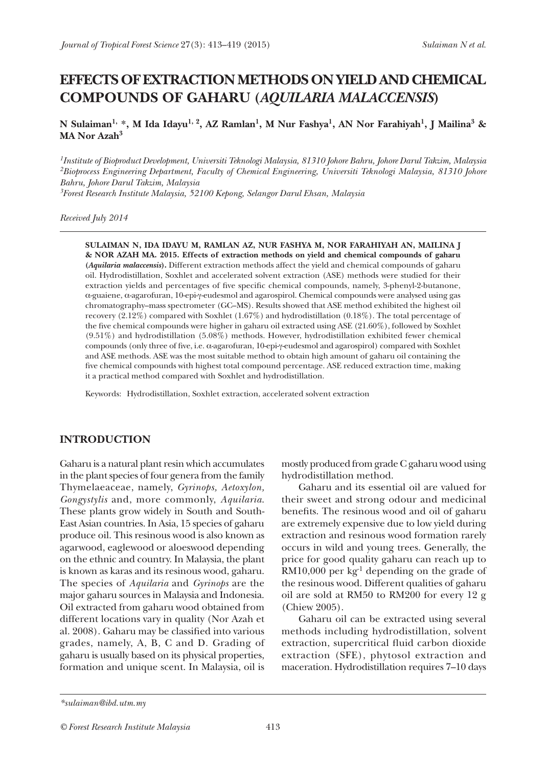# **EFFECTS OF EXTRACTION METHODS ON YIELD AND CHEMICAL COMPOUNDS OF GAHARU (***AQUILARIA MALACCENSIS***)**

**N Sulaiman1, \*, M Ida Idayu1, 2, AZ Ramlan1, M Nur Fashya1, AN Nor Farahiyah1, J Mailina3 & MA Nor Azah3**

*1Institute of Bioproduct Development, Universiti Teknologi Malaysia, 81310 Johore Bahru, Johore Darul Takzim, Malaysia 2Bioprocess Engineering Department, Faculty of Chemical Engineering, Universiti Teknologi Malaysia, 81310 Johore Bahru, Johore Darul Takzim, Malaysia*

*3Forest Research Institute Malaysia, 52100 Kepong, Selangor Darul Ehsan, Malaysia*

*Received July 2014*

**SULAIMAN N, IDA IDAYU M, RAMLAN AZ, NUR FASHYA M, NOR FARAHIYAH AN, MAILINA J & NOR AZAH MA. 2015. Effects of extraction methods on yield and chemical compounds of gaharu (***Aquilaria malaccensis***).** Different extraction methods affect the yield and chemical compounds of gaharu oil. Hydrodistillation, Soxhlet and accelerated solvent extraction (ASE) methods were studied for their extraction yields and percentages of five specific chemical compounds, namely, 3-phenyl-2-butanone, α-guaiene, α-agarofuran, 10-epi-γ-eudesmol and agarospirol. Chemical compounds were analysed using gas chromatography–mass spectrometer (GC–MS). Results showed that ASE method exhibited the highest oil recovery (2.12%) compared with Soxhlet (1.67%) and hydrodistillation (0.18%). The total percentage of the five chemical compounds were higher in gaharu oil extracted using ASE (21.60%), followed by Soxhlet (9.51%) and hydrodistillation (5.08%) methods. However, hydrodistillation exhibited fewer chemical compounds (only three of five, i.e. α-agarofuran, 10-epi-γ-eudesmol and agarospirol) compared with Soxhlet and ASE methods. ASE was the most suitable method to obtain high amount of gaharu oil containing the five chemical compounds with highest total compound percentage. ASE reduced extraction time, making it a practical method compared with Soxhlet and hydrodistillation.

Keywords: Hydrodistillation, Soxhlet extraction, accelerated solvent extraction

#### **INTRODUCTION**

Gaharu is a natural plant resin which accumulates in the plant species of four genera from the family Thymelaeaceae, namely, *Gyrinops, Aetoxylon, Gongystylis* and, more commonly, *Aquilaria*. These plants grow widely in South and South-East Asian countries. In Asia, 15 species of gaharu produce oil. This resinous wood is also known as agarwood, eaglewood or aloeswood depending on the ethnic and country. In Malaysia, the plant is known as karas and its resinous wood, gaharu. The species of *Aquilaria* and *Gyrinops* are the major gaharu sources in Malaysia and Indonesia. Oil extracted from gaharu wood obtained from different locations vary in quality (Nor Azah et al. 2008). Gaharu may be classified into various grades, namely, A, B, C and D. Grading of gaharu is usually based on its physical properties, formation and unique scent. In Malaysia, oil is

mostly produced from grade C gaharu wood using hydrodistillation method.

Gaharu and its essential oil are valued for their sweet and strong odour and medicinal benefits. The resinous wood and oil of gaharu are extremely expensive due to low yield during extraction and resinous wood formation rarely occurs in wild and young trees. Generally, the price for good quality gaharu can reach up to  $RM10,000$  per kg<sup>-1</sup> depending on the grade of the resinous wood. Different qualities of gaharu oil are sold at RM50 to RM200 for every 12 g (Chiew 2005).

Gaharu oil can be extracted using several methods including hydrodistillation, solvent extraction, supercritical fluid carbon dioxide extraction (SFE), phytosol extraction and maceration. Hydrodistillation requires 7–10 days

*<sup>\*</sup>sulaiman@ibd.utm.my*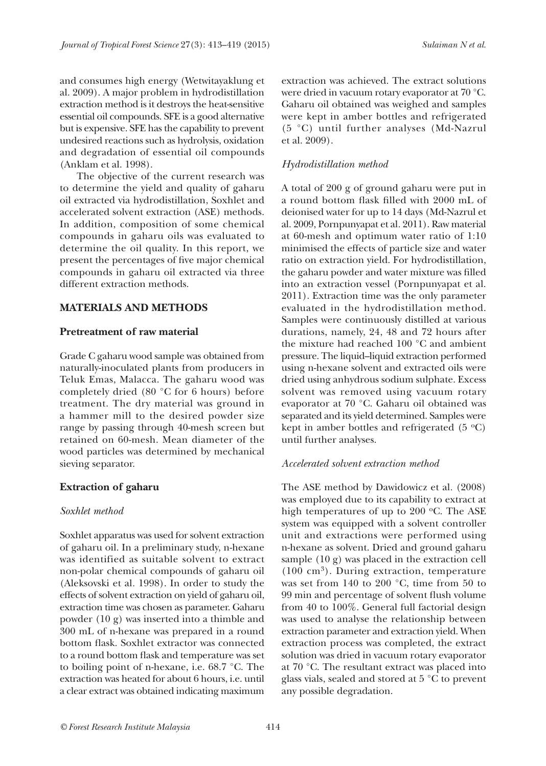and consumes high energy (Wetwitayaklung et al. 2009). A major problem in hydrodistillation extraction method is it destroys the heat-sensitive essential oil compounds. SFE is a good alternative but is expensive. SFE has the capability to prevent undesired reactions such as hydrolysis, oxidation and degradation of essential oil compounds (Anklam et al. 1998).

The objective of the current research was to determine the yield and quality of gaharu oil extracted via hydrodistillation, Soxhlet and accelerated solvent extraction (ASE) methods. In addition, composition of some chemical compounds in gaharu oils was evaluated to determine the oil quality. In this report, we present the percentages of five major chemical compounds in gaharu oil extracted via three different extraction methods.

#### **MATERIALS AND METHODS**

## **Pretreatment of raw material**

Grade C gaharu wood sample was obtained from naturally-inoculated plants from producers in Teluk Emas, Malacca. The gaharu wood was completely dried (80 °C for 6 hours) before treatment. The dry material was ground in a hammer mill to the desired powder size range by passing through 40-mesh screen but retained on 60-mesh. Mean diameter of the wood particles was determined by mechanical sieving separator.

## **Extraction of gaharu**

## *Soxhlet method*

Soxhlet apparatus was used for solvent extraction of gaharu oil. In a preliminary study, n-hexane was identified as suitable solvent to extract non-polar chemical compounds of gaharu oil (Aleksovski et al*.* 1998). In order to study the effects of solvent extraction on yield of gaharu oil, extraction time was chosen as parameter. Gaharu powder (10 g) was inserted into a thimble and 300 mL of n-hexane was prepared in a round bottom flask. Soxhlet extractor was connected to a round bottom flask and temperature was set to boiling point of n-hexane, i.e. 68.7 °C. The extraction was heated for about 6 hours, i.e. until a clear extract was obtained indicating maximum

extraction was achieved. The extract solutions were dried in vacuum rotary evaporator at 70 °C. Gaharu oil obtained was weighed and samples were kept in amber bottles and refrigerated (5 °C) until further analyses (Md-Nazrul et al. 2009).

## *Hydrodistillation method*

A total of 200 g of ground gaharu were put in a round bottom flask filled with 2000 mL of deionised water for up to 14 days (Md-Nazrul et al. 2009, Pornpunyapat et al*.* 2011). Raw material at 60-mesh and optimum water ratio of 1:10 minimised the effects of particle size and water ratio on extraction yield. For hydrodistillation, the gaharu powder and water mixture was filled into an extraction vessel (Pornpunyapat et al. 2011). Extraction time was the only parameter evaluated in the hydrodistillation method. Samples were continuously distilled at various durations, namely, 24, 48 and 72 hours after the mixture had reached 100 °C and ambient pressure. The liquid–liquid extraction performed using n-hexane solvent and extracted oils were dried using anhydrous sodium sulphate. Excess solvent was removed using vacuum rotary evaporator at 70 °C. Gaharu oil obtained was separated and its yield determined. Samples were kept in amber bottles and refrigerated  $(5 \text{ }^{\circ}C)$ until further analyses.

## *Accelerated solvent extraction method*

The ASE method by Dawidowicz et al*.* (2008) was employed due to its capability to extract at high temperatures of up to 200 °C. The ASE system was equipped with a solvent controller unit and extractions were performed using n-hexane as solvent. Dried and ground gaharu sample (10 g) was placed in the extraction cell  $(100 \text{ cm}^3)$ . During extraction, temperature was set from 140 to 200 °C, time from 50 to 99 min and percentage of solvent flush volume from 40 to 100%. General full factorial design was used to analyse the relationship between extraction parameter and extraction yield. When extraction process was completed, the extract solution was dried in vacuum rotary evaporator at 70 °C. The resultant extract was placed into glass vials, sealed and stored at 5 °C to prevent any possible degradation.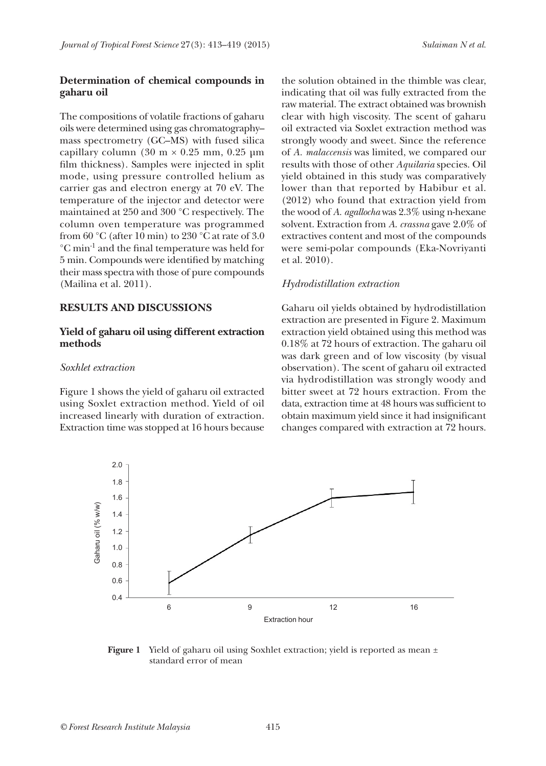## **Determination of chemical compounds in gaharu oil**

The compositions of volatile fractions of gaharu oils were determined using gas chromatography– mass spectrometry (GC–MS) with fused silica capillary column (30 m  $\times$  0.25 mm, 0.25 µm film thickness). Samples were injected in split mode, using pressure controlled helium as carrier gas and electron energy at 70 eV. The temperature of the injector and detector were maintained at 250 and 300 °C respectively. The column oven temperature was programmed from  $60^{\circ}$ C (after 10 min) to  $230^{\circ}$ C at rate of 3.0 °C min-1 and the final temperature was held for 5 min. Compounds were identified by matching their mass spectra with those of pure compounds (Mailina et al. 2011).

#### **RESULTS AND DISCUSSIONS**

## **Yield of gaharu oil using different extraction methods**

#### *Soxhlet extraction*

Figure 1 shows the yield of gaharu oil extracted using Soxlet extraction method. Yield of oil increased linearly with duration of extraction. Extraction time was stopped at 16 hours because

the solution obtained in the thimble was clear, indicating that oil was fully extracted from the raw material. The extract obtained was brownish clear with high viscosity. The scent of gaharu oil extracted via Soxlet extraction method was strongly woody and sweet. Since the reference of *A. malaccensis* was limited, we compared our results with those of other *Aquilaria* species. Oil yield obtained in this study was comparatively lower than that reported by Habibur et al. (2012) who found that extraction yield from the wood of *A. agallocha* was 2.3% using n-hexane solvent. Extraction from *A*. *crassna* gave 2.0% of extractives content and most of the compounds were semi-polar compounds (Eka-Novriyanti et al. 2010).

#### *Hydrodistillation extraction*

Gaharu oil yields obtained by hydrodistillation extraction are presented in Figure 2. Maximum extraction yield obtained using this method was 0.18% at 72 hours of extraction. The gaharu oil was dark green and of low viscosity (by visual observation). The scent of gaharu oil extracted via hydrodistillation was strongly woody and bitter sweet at 72 hours extraction. From the data, extraction time at 48 hours was sufficient to obtain maximum yield since it had insignificant changes compared with extraction at 72 hours.



**Figure 1** Yield of gaharu oil using Soxhlet extraction; yield is reported as mean ± standard error of mean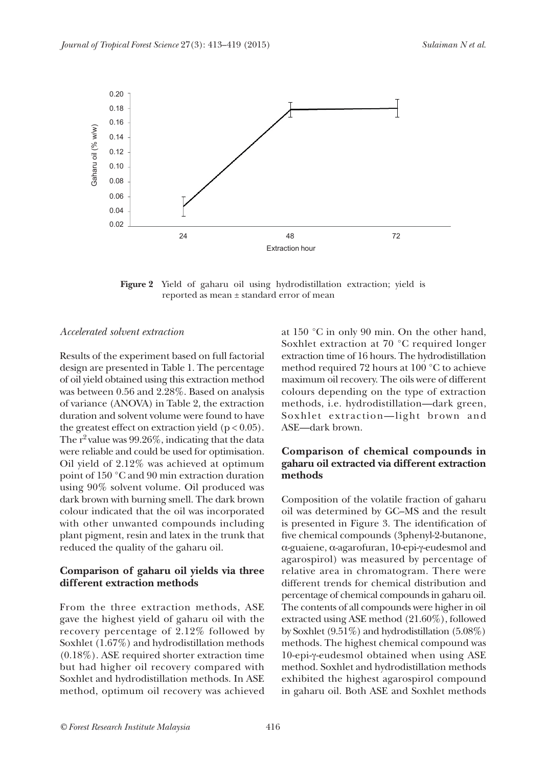

**Figure 2** Yield of gaharu oil using hydrodistillation extraction; yield is reported as mean ± standard error of mean

#### *Accelerated solvent extraction*

Results of the experiment based on full factorial design are presented in Table 1. The percentage of oil yield obtained using this extraction method was between 0.56 and 2.28%. Based on analysis of variance (ANOVA) in Table 2, the extraction duration and solvent volume were found to have the greatest effect on extraction yield ( $p < 0.05$ ). The  $r^2$  value was 99.26%, indicating that the data were reliable and could be used for optimisation. Oil yield of 2.12% was achieved at optimum point of 150 °C and 90 min extraction duration using 90% solvent volume. Oil produced was dark brown with burning smell. The dark brown colour indicated that the oil was incorporated with other unwanted compounds including plant pigment, resin and latex in the trunk that reduced the quality of the gaharu oil.

## **Comparison of gaharu oil yields via three different extraction methods**

From the three extraction methods, ASE gave the highest yield of gaharu oil with the recovery percentage of 2.12% followed by Soxhlet (1.67%) and hydrodistillation methods (0.18%). ASE required shorter extraction time but had higher oil recovery compared with Soxhlet and hydrodistillation methods. In ASE method, optimum oil recovery was achieved

at 150 °C in only 90 min. On the other hand, Soxhlet extraction at 70 °C required longer extraction time of 16 hours. The hydrodistillation method required 72 hours at 100 °C to achieve maximum oil recovery. The oils were of different colours depending on the type of extraction methods, i.e. hydrodistillation—dark green, Soxhlet extraction—light brown and ASE—dark brown.

## **Comparison of chemical compounds in gaharu oil extracted via different extraction methods**

Composition of the volatile fraction of gaharu oil was determined by GC–MS and the result is presented in Figure 3. The identification of five chemical compounds (3phenyl-2-butanone, α-guaiene, α-agarofuran, 10-epi-γ-eudesmol and agarospirol) was measured by percentage of relative area in chromatogram. There were different trends for chemical distribution and percentage of chemical compounds in gaharu oil. The contents of all compounds were higher in oil extracted using ASE method (21.60%), followed by Soxhlet (9.51%) and hydrodistillation (5.08%) methods. The highest chemical compound was 10-epi-γ-eudesmol obtained when using ASE method. Soxhlet and hydrodistillation methods exhibited the highest agarospirol compound in gaharu oil. Both ASE and Soxhlet methods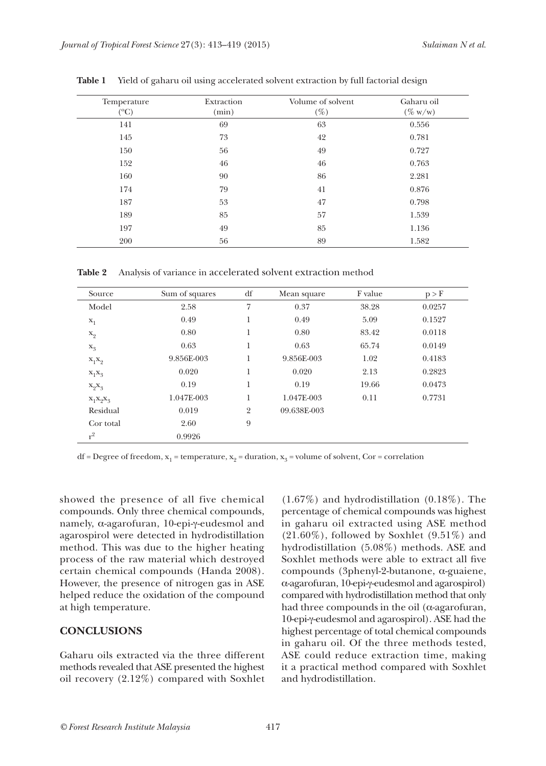| Temperature<br>$({}^{\circ}C)$ | Extraction<br>(min) | Volume of solvent<br>$(\%)$ | Gaharu oil<br>$(\% w/w)$ |
|--------------------------------|---------------------|-----------------------------|--------------------------|
| 141                            | 69                  | 63                          | 0.556                    |
| 145                            | 73                  | 42                          | 0.781                    |
| 150                            | 56                  | 49                          | 0.727                    |
| 152                            | 46                  | 46                          | 0.763                    |
| 160                            | 90                  | 86                          | 2.281                    |
| 174                            | 79                  | 41                          | 0.876                    |
| 187                            | 53                  | 47                          | 0.798                    |
| 189                            | 85                  | 57                          | 1.539                    |
| 197                            | 49                  | 85                          | 1.136                    |
| 200                            | 56                  | 89                          | 1.582                    |

**Table 1** Yield of gaharu oil using accelerated solvent extraction by full factorial design

**Table 2** Analysis of variance in accelerated solvent extraction method

| Source      | Sum of squares | df             | Mean square | F value | p > F  |
|-------------|----------------|----------------|-------------|---------|--------|
| Model       | 2.58           | 7              | 0.37        | 38.28   | 0.0257 |
| $X_1$       | 0.49           | 1              | 0.49        | 5.09    | 0.1527 |
| $x_2$       | 0.80           | 1              | 0.80        | 83.42   | 0.0118 |
| $X_3$       | 0.63           | 1              | 0.63        | 65.74   | 0.0149 |
| $X_1X_2$    | 9.856E-003     | 1              | 9.856E-003  | 1.02    | 0.4183 |
| $X_1X_2$    | 0.020          | 1              | 0.020       | 2.13    | 0.2823 |
| $X_9X_9$    | 0.19           | 1              | 0.19        | 19.66   | 0.0473 |
| $X_1X_2X_3$ | 1.047E-003     | 1              | 1.047E-003  | 0.11    | 0.7731 |
| Residual    | 0.019          | $\overline{2}$ | 09.638E-003 |         |        |
| Cor total   | 2.60           | 9              |             |         |        |
| $r^2$       | 0.9926         |                |             |         |        |

df = Degree of freedom,  $x_1$  = temperature,  $x_2$  = duration,  $x_3$  = volume of solvent, Cor = correlation

showed the presence of all five chemical compounds. Only three chemical compounds, namely, α-agarofuran, 10-epi-γ-eudesmol and agarospirol were detected in hydrodistillation method. This was due to the higher heating process of the raw material which destroyed certain chemical compounds (Handa 2008). However, the presence of nitrogen gas in ASE helped reduce the oxidation of the compound at high temperature.

#### **CONCLUSIONS**

Gaharu oils extracted via the three different methods revealed that ASE presented the highest oil recovery (2.12%) compared with Soxhlet

(1.67%) and hydrodistillation (0.18%). The percentage of chemical compounds was highest in gaharu oil extracted using ASE method  $(21.60\%)$ , followed by Soxhlet  $(9.51\%)$  and hydrodistillation (5.08%) methods. ASE and Soxhlet methods were able to extract all five compounds (3phenyl-2-butanone, α-guaiene, α-agarofuran, 10-epi-γ-eudesmol and agarospirol) compared with hydrodistillation method that only had three compounds in the oil ( $\alpha$ -agarofuran, 10-epi-γ-eudesmol and agarospirol). ASE had the highest percentage of total chemical compounds in gaharu oil. Of the three methods tested, ASE could reduce extraction time, making it a practical method compared with Soxhlet and hydrodistillation.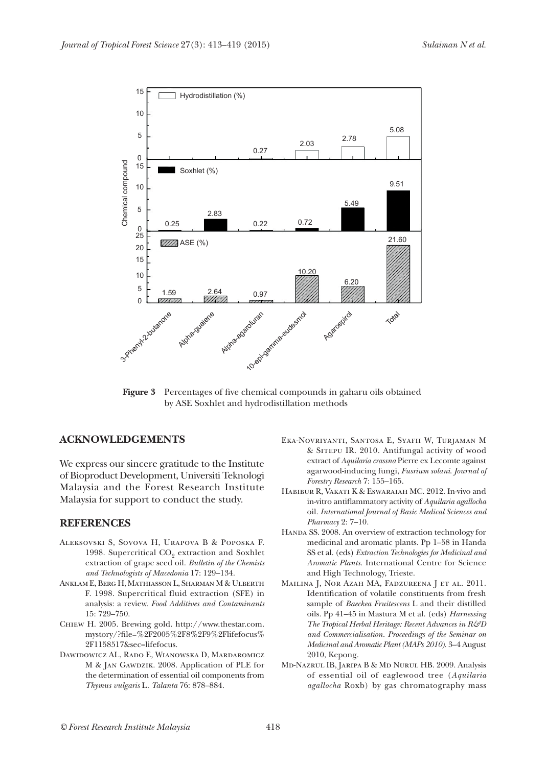

**Figure 3** Percentages of five chemical compounds in gaharu oils obtained by ASE Soxhlet and hydrodistillation methods

#### **ACKNOWLEDGEMENTS**

We express our sincere gratitude to the Institute of Bioproduct Development, Universiti Teknologi Malaysia and the Forest Research Institute Malaysia for support to conduct the study.

#### **REFERENCES**

- Aleksovski S, Sovova H, Urapova B & Poposka F. 1998. Supercritical  $CO<sub>9</sub>$  extraction and Soxhlet extraction of grape seed oil. *Bulletin of the Chemists and Technologists of Macedonia* 17: 129–134.
- ANKLAM E, BERG H, MATHIASSON L, SHARMAN M & ULBERTH F. 1998. Supercritical fluid extraction (SFE) in analysis: a review. *Food Additives and Contaminants*  15: 729–750.
- Chiew H. 2005. Brewing gold. http://www.thestar.com. mystory/?file=%2F2005%2F8%2F9%2Flifefocus% 2F1158517&sec=lifefocus.
- Dawidowicz AL, Rado E, Wianowska D, Mardaromicz M & JAN GAWDZIK. 2008. Application of PLE for the determination of essential oil components from *Thymus vulgaris* L*. Talanta* 76: 878–884.
- Eka-Novriyanti, Santosa E, Syafii W, Turjaman M & Sitepu IR. 2010. Antifungal activity of wood extract of *Aquilaria crassna* Pierre ex Lecomte against agarwood-inducing fungi, *Fusrium solani*. *Journal of Forestry Research* 7: 155–165.
- Habibur R, Vakati K & Eswaraiah MC. 2012. In-vivo and in-vitro antiflammatory activity of *Aquilaria agallocha* oil. *International Journal of Basic Medical Sciences and Pharmacy* 2: 7–10.
- HANDA SS. 2008. An overview of extraction technology for medicinal and aromatic plants. Pp 1–58 in Handa SS et al. (eds) *Extraction Technologies for Medicinal and Aromatic Plants*. International Centre for Science and High Technology, Trieste.
- MAILINA J, NOR AZAH MA, FADZUREENA J ET AL. 2011. Identification of volatile constituents from fresh sample of *Baeckea Fruitescens* L and their distilled oils. Pp 41–45 in Mastura M et al. (eds) *Harnessing The Tropical Herbal Heritage: Recent Advances in R&D and Commercialisation. Proceedings of the Seminar on Medicinal and Aromatic Plant (MAPs 2010).* 3–4 August 2010, Kepong.
- Md-Nazrul IB, Jaripa B & Md Nurul HB. 2009. Analysis of essential oil of eaglewood tree (*Aquilaria agallocha* Roxb) by gas chromatography mass